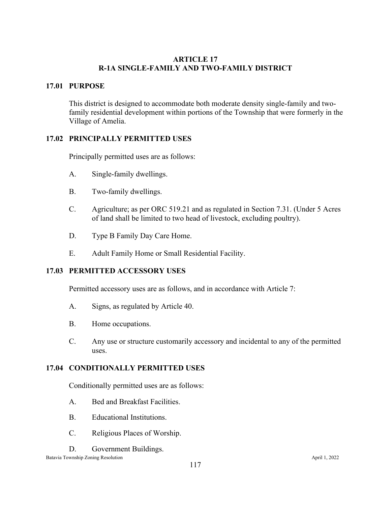# **ARTICLE 17 R-1A SINGLE-FAMILY AND TWO-FAMILY DISTRICT**

# **17.01 PURPOSE**

This district is designed to accommodate both moderate density single-family and twofamily residential development within portions of the Township that were formerly in the Village of Amelia.

# **17.02 PRINCIPALLY PERMITTED USES**

Principally permitted uses are as follows:

- A. Single-family dwellings.
- B. Two-family dwellings.
- C. Agriculture; as per ORC 519.21 and as regulated in Section 7.31. (Under 5 Acres of land shall be limited to two head of livestock, excluding poultry).
- D. Type B Family Day Care Home.
- E. Adult Family Home or Small Residential Facility.

# **17.03 PERMITTED ACCESSORY USES**

Permitted accessory uses are as follows, and in accordance with Article 7:

- A. Signs, as regulated by Article 40.
- B. Home occupations.
- C. Any use or structure customarily accessory and incidental to any of the permitted uses.

## **17.04 CONDITIONALLY PERMITTED USES**

Conditionally permitted uses are as follows:

- A. Bed and Breakfast Facilities.
- B. Educational Institutions.
- C. Religious Places of Worship.
- D. Government Buildings.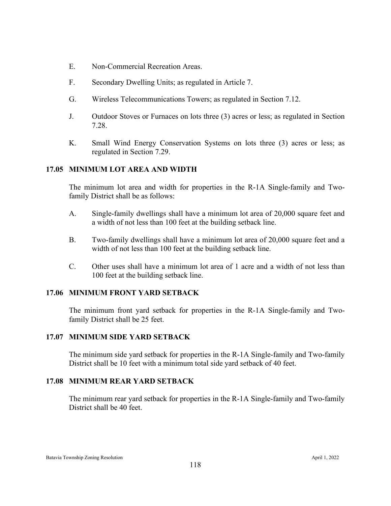- E. Non-Commercial Recreation Areas.
- F. Secondary Dwelling Units; as regulated in Article 7.
- G. Wireless Telecommunications Towers; as regulated in Section 7.12.
- J. Outdoor Stoves or Furnaces on lots three (3) acres or less; as regulated in Section 7.28.
- K. Small Wind Energy Conservation Systems on lots three (3) acres or less; as regulated in Section 7.29.

## **17.05 MINIMUM LOT AREA AND WIDTH**

The minimum lot area and width for properties in the R-1A Single-family and Twofamily District shall be as follows:

- A. Single-family dwellings shall have a minimum lot area of 20,000 square feet and a width of not less than 100 feet at the building setback line.
- B. Two-family dwellings shall have a minimum lot area of 20,000 square feet and a width of not less than 100 feet at the building setback line.
- C. Other uses shall have a minimum lot area of 1 acre and a width of not less than 100 feet at the building setback line.

## **17.06 MINIMUM FRONT YARD SETBACK**

The minimum front yard setback for properties in the R-1A Single-family and Twofamily District shall be 25 feet.

## **17.07 MINIMUM SIDE YARD SETBACK**

The minimum side yard setback for properties in the R-1A Single-family and Two-family District shall be 10 feet with a minimum total side yard setback of 40 feet.

#### **17.08 MINIMUM REAR YARD SETBACK**

The minimum rear yard setback for properties in the R-1A Single-family and Two-family District shall be 40 feet.